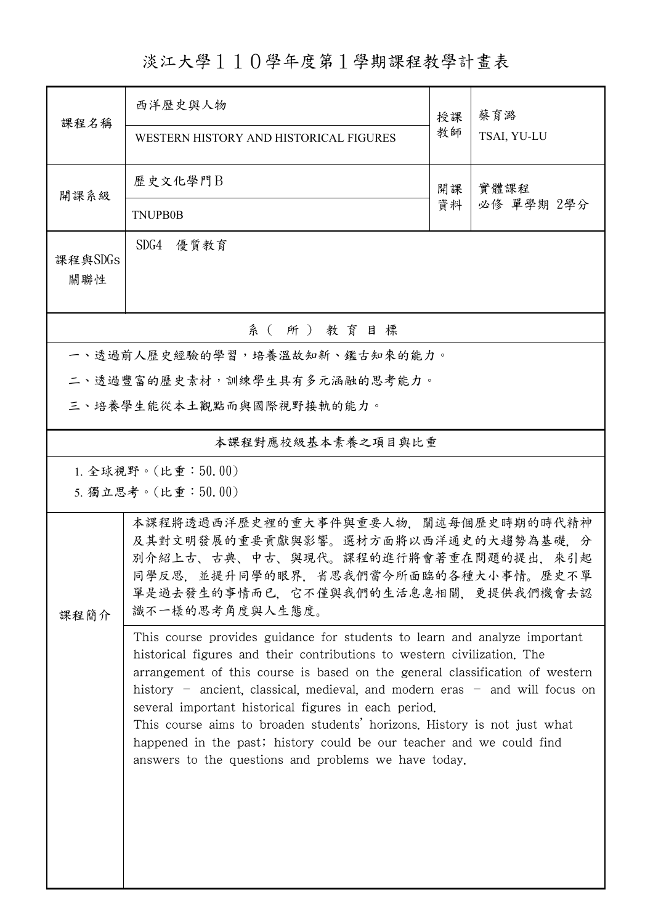淡江大學110學年度第1學期課程教學計畫表

| 課程名稱                                     | 西洋歷史與人物<br>WESTERN HISTORY AND HISTORICAL FIGURES                                                                                                                                                                                                                                                                                                                                                                                                                                                                                                                                       | 授課<br>教師 | 蔡育潞<br>TSAI, YU-LU |  |  |  |  |
|------------------------------------------|-----------------------------------------------------------------------------------------------------------------------------------------------------------------------------------------------------------------------------------------------------------------------------------------------------------------------------------------------------------------------------------------------------------------------------------------------------------------------------------------------------------------------------------------------------------------------------------------|----------|--------------------|--|--|--|--|
| 開課系級                                     | 歷史文化學門B<br>實體課程<br>開課<br>資料<br>必修 單學期 2學分<br><b>TNUPB0B</b>                                                                                                                                                                                                                                                                                                                                                                                                                                                                                                                             |          |                    |  |  |  |  |
| 課程與SDGs<br>關聯性                           | SDG4 優質教育                                                                                                                                                                                                                                                                                                                                                                                                                                                                                                                                                                               |          |                    |  |  |  |  |
| 系 (所) 教育目標                               |                                                                                                                                                                                                                                                                                                                                                                                                                                                                                                                                                                                         |          |                    |  |  |  |  |
| 一、透過前人歷史經驗的學習,培養溫故知新、鑑古知來的能力。            |                                                                                                                                                                                                                                                                                                                                                                                                                                                                                                                                                                                         |          |                    |  |  |  |  |
| 二、透過豐富的歷史素材,訓練學生具有多元涵融的思考能力。             |                                                                                                                                                                                                                                                                                                                                                                                                                                                                                                                                                                                         |          |                    |  |  |  |  |
|                                          | 三、培養學生能從本土觀點而與國際視野接軌的能力。                                                                                                                                                                                                                                                                                                                                                                                                                                                                                                                                                                |          |                    |  |  |  |  |
| 本課程對應校級基本素養之項目與比重                        |                                                                                                                                                                                                                                                                                                                                                                                                                                                                                                                                                                                         |          |                    |  |  |  |  |
| 1. 全球視野。(比重:50.00)<br>5. 獨立思考。(比重:50.00) |                                                                                                                                                                                                                                                                                                                                                                                                                                                                                                                                                                                         |          |                    |  |  |  |  |
| 課程簡介                                     | 本課程將透過西洋歷史裡的重大事件與重要人物,闡述每個歷史時期的時代精神<br>及其對文明發展的重要貢獻與影響。選材方面將以西洋通史的大趨勢為基礎,分<br>別介紹上古、古典、中古、與現代。課程的進行將會著重在問題的提出,來引起<br>同學反思,並提升同學的眼界,省思我們當今所面臨的各種大小事情。歷史不單<br>單是過去發生的事情而已,它不僅與我們的生活息息相關,更提供我們機會去認<br>識不一樣的思考角度與人生態度。                                                                                                                                                                                                                                                                                                                                                                      |          |                    |  |  |  |  |
|                                          | This course provides guidance for students to learn and analyze important<br>historical figures and their contributions to western civilization. The<br>arrangement of this course is based on the general classification of western<br>history – ancient, classical, medieval, and modern eras – and will focus on<br>several important historical figures in each period.<br>This course aims to broaden students' horizons. History is not just what<br>happened in the past; history could be our teacher and we could find<br>answers to the questions and problems we have today. |          |                    |  |  |  |  |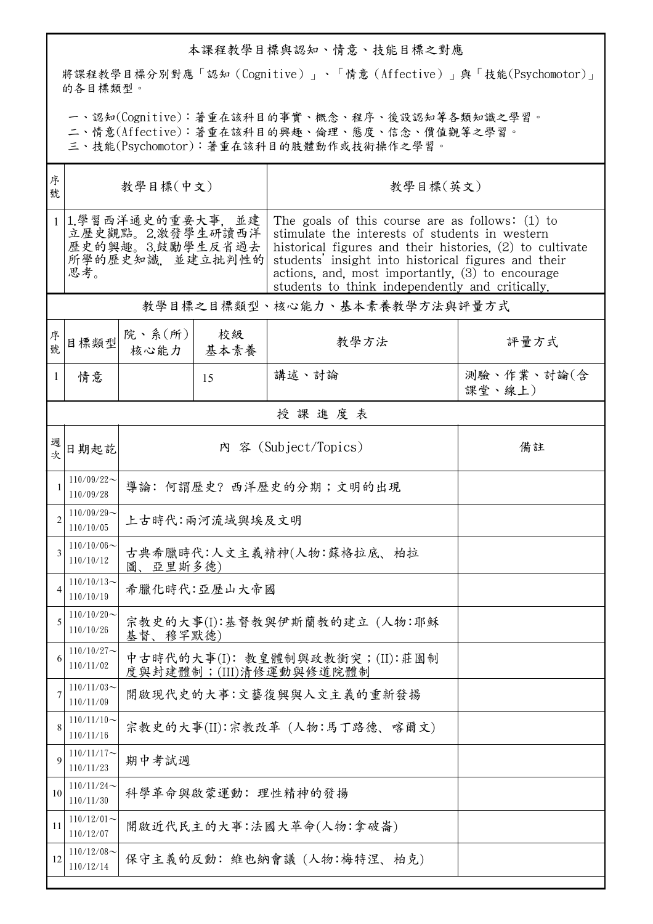## 本課程教學目標與認知、情意、技能目標之對應

將課程教學目標分別對應「認知(Cognitive)」、「情意(Affective)」與「技能(Psychomotor)」 的各目標類型。

一、認知(Cognitive):著重在該科目的事實、概念、程序、後設認知等各類知識之學習。

二、情意(Affective):著重在該科目的興趣、倫理、態度、信念、價值觀等之學習。

三、技能(Psychomotor):著重在該科目的肢體動作或技術操作之學習。

| 序<br>號         | 教學目標(中文)                                                                             |                                                           |            | 教學目標(英文)                                                                                                                                                                                                                                                                                                                      |                      |  |  |
|----------------|--------------------------------------------------------------------------------------|-----------------------------------------------------------|------------|-------------------------------------------------------------------------------------------------------------------------------------------------------------------------------------------------------------------------------------------------------------------------------------------------------------------------------|----------------------|--|--|
| 1 <sup>1</sup> | 1.學習西洋通史的重要大事, 並建<br>立歷史觀點。2.激發學生研讀西洋<br>歷史的興趣。3.鼓勵學生反省過去<br>所學的歷史知識, 並建立批判性的<br>思考。 |                                                           |            | The goals of this course are as follows: $(1)$ to<br>stimulate the interests of students in western<br>historical figures and their histories, (2) to cultivate<br>students' insight into historical figures and their<br>actions, and, most importantly, (3) to encourage<br>students to think independently and critically. |                      |  |  |
|                | 教學目標之目標類型、核心能力、基本素養教學方法與評量方式                                                         |                                                           |            |                                                                                                                                                                                                                                                                                                                               |                      |  |  |
| 序號             | 目標類型                                                                                 | 院、系 $(\hbox{\tt m})$<br>核心能力                              | 校級<br>基本素養 | 教學方法                                                                                                                                                                                                                                                                                                                          | 評量方式                 |  |  |
| 1              | 情意                                                                                   |                                                           | 15         | 講述、討論                                                                                                                                                                                                                                                                                                                         | 測驗、作業、討論(含<br>課堂、線上) |  |  |
|                | 授課進度表                                                                                |                                                           |            |                                                                                                                                                                                                                                                                                                                               |                      |  |  |
| 週次             | 日期起訖                                                                                 |                                                           |            | 內 容 (Subject/Topics)                                                                                                                                                                                                                                                                                                          | 備註                   |  |  |
| $\mathbf{1}$   | $110/09/22$ ~<br>110/09/28                                                           | 導論: 何謂歷史? 西洋歷史的分期;文明的出現                                   |            |                                                                                                                                                                                                                                                                                                                               |                      |  |  |
| $\overline{2}$ | $110/09/29$ ~<br>110/10/05                                                           | 上古時代:兩河流域與埃及文明                                            |            |                                                                                                                                                                                                                                                                                                                               |                      |  |  |
| 3              | $110/10/06 \sim$<br>110/10/12                                                        | 古典希臘時代:人文主義精神(人物:蘇格拉底、柏拉<br>圖、亞里斯多德)                      |            |                                                                                                                                                                                                                                                                                                                               |                      |  |  |
|                | $110/10/13$ ~<br>110/10/19                                                           | 希臘化時代:亞歷山大帝國                                              |            |                                                                                                                                                                                                                                                                                                                               |                      |  |  |
| 5              | $110/10/20$ ~<br>110/10/26                                                           | 宗教史的大事(I):基督教與伊斯蘭教的建立 (人物:耶穌<br>基督、穆罕默德)                  |            |                                                                                                                                                                                                                                                                                                                               |                      |  |  |
| 6              | $110/10/27$ ~<br>110/11/02                                                           | 中古時代的大事(I): 教皇體制與政教衝突;(II):莊園制<br>度與封建體制; (III)清修運動與修道院體制 |            |                                                                                                                                                                                                                                                                                                                               |                      |  |  |
| 7              | $110/11/03$ ~<br>110/11/09                                                           | 開啟現代史的大事:文藝復興與人文主義的重新發揚                                   |            |                                                                                                                                                                                                                                                                                                                               |                      |  |  |
| 8              | $110/11/10$ ~<br>110/11/16                                                           | 宗教史的大事(II):宗教改革 (人物:馬丁路德、喀爾文)                             |            |                                                                                                                                                                                                                                                                                                                               |                      |  |  |
| 9              | $110/11/17$ ~<br>110/11/23                                                           | 期中考試週                                                     |            |                                                                                                                                                                                                                                                                                                                               |                      |  |  |
| 10             | $110/11/24$ ~<br>110/11/30                                                           | 科學革命與啟蒙運動: 理性精神的發揚                                        |            |                                                                                                                                                                                                                                                                                                                               |                      |  |  |
| 11             | $110/12/01$ ~<br>110/12/07                                                           | 開啟近代民主的大事:法國大革命(人物:拿破崙)                                   |            |                                                                                                                                                                                                                                                                                                                               |                      |  |  |
| 12             | $110/12/08$ ~<br>110/12/14                                                           | 保守主義的反動:維也納會議(人物:梅特涅、柏克)                                  |            |                                                                                                                                                                                                                                                                                                                               |                      |  |  |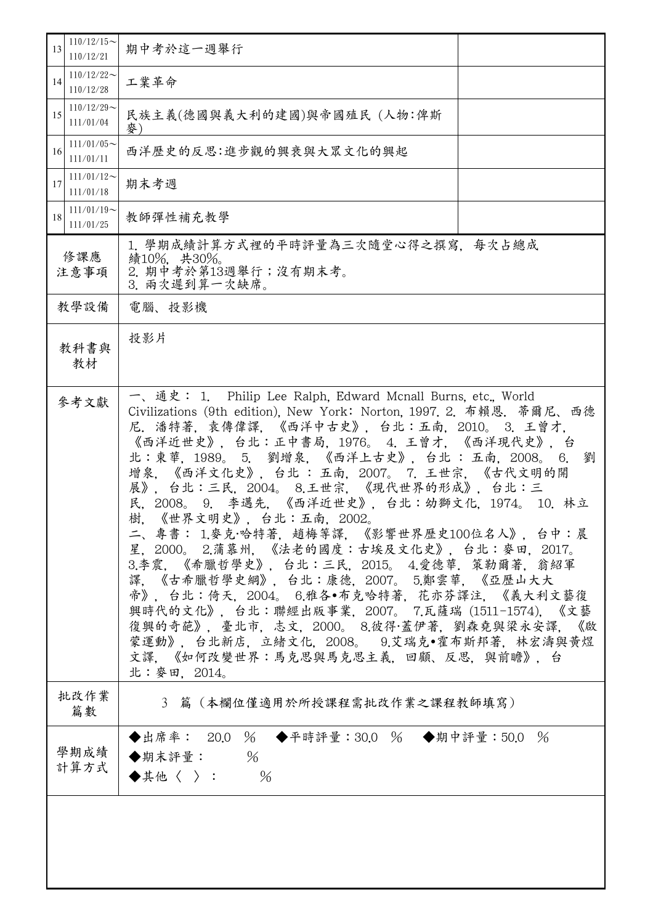| $110/12/15$ ~<br>13<br>110/12/21 | 期中考於這一週舉行                                                                                                                                                                                                                                                                                                                                                                                                                                                                                                                                                                                                                                                                                                                                                                                                                                                                      |  |  |  |
|----------------------------------|--------------------------------------------------------------------------------------------------------------------------------------------------------------------------------------------------------------------------------------------------------------------------------------------------------------------------------------------------------------------------------------------------------------------------------------------------------------------------------------------------------------------------------------------------------------------------------------------------------------------------------------------------------------------------------------------------------------------------------------------------------------------------------------------------------------------------------------------------------------------------------|--|--|--|
| $110/12/22$ ~<br>14<br>110/12/28 | 工業革命                                                                                                                                                                                                                                                                                                                                                                                                                                                                                                                                                                                                                                                                                                                                                                                                                                                                           |  |  |  |
| $110/12/29$ ~<br>15<br>111/01/04 | 民族主義(德國與義大利的建國)與帝國殖民 (人物:俾斯<br>麥                                                                                                                                                                                                                                                                                                                                                                                                                                                                                                                                                                                                                                                                                                                                                                                                                                               |  |  |  |
| $111/01/05$ ~<br>16<br>111/01/11 | 西洋歷史的反思:進步觀的興衰與大眾文化的興起                                                                                                                                                                                                                                                                                                                                                                                                                                                                                                                                                                                                                                                                                                                                                                                                                                                         |  |  |  |
| $111/01/12$ ~<br>17<br>111/01/18 | 期末考週                                                                                                                                                                                                                                                                                                                                                                                                                                                                                                                                                                                                                                                                                                                                                                                                                                                                           |  |  |  |
| $111/01/19$ ~<br>18<br>111/01/25 | 教師彈性補充教學                                                                                                                                                                                                                                                                                                                                                                                                                                                                                                                                                                                                                                                                                                                                                                                                                                                                       |  |  |  |
| 修課應<br>注意事項                      | 1. 學期成績計算方式裡的平時評量為三次隨堂心得之撰寫. 每次占總成<br>績10%, 共30%。<br>2. 期中考於第13週舉行;沒有期末考。<br>3. 兩次遲到算一次缺席。                                                                                                                                                                                                                                                                                                                                                                                                                                                                                                                                                                                                                                                                                                                                                                                     |  |  |  |
| 教學設備                             | 電腦、投影機                                                                                                                                                                                                                                                                                                                                                                                                                                                                                                                                                                                                                                                                                                                                                                                                                                                                         |  |  |  |
| 教科書與<br>教材                       | 投影片                                                                                                                                                                                                                                                                                                                                                                                                                                                                                                                                                                                                                                                                                                                                                                                                                                                                            |  |  |  |
| 參考文獻                             | 一、通史: 1. Philip Lee Ralph, Edward Mcnall Burns, etc., World<br>Civilizations (9th edition), New York: Norton, 1997. 2. 布賴恩. 蒂爾尼、西德<br>尼. 潘特著, 袁傳偉譯, 《西洋中古史》, 台北:五南, 2010。 3. 王曾才,<br>《西洋近世史》,台北:正中書局,1976。 4.王曾才,《西洋現代史》,台<br>北:東華, 1989。 5. 劉增泉, 《西洋上古史》, 台北: 五南, 2008。 6.<br>劉<br>增泉,《西洋文化史》,台北 : 五南,2007。 7. 王世宗,《古代文明的開<br>展》,台北:三民,2004。 8.王世宗,《現代世界的形成》,台北:三<br>民, 2008。 9. 李邁先, 《西洋近世史》, 台北:幼獅文化, 1974。 10. 林立<br>《世界文明史》,台北:五南,2002。<br>樹.<br>二、專書: 1.麥克·哈特著,趙梅等譯,《影響世界歷史100位名人》,台中:晨<br>星, 2000。 2.蒲慕州, 《法老的國度:古埃及文化史》, 台北: 麥田, 2017。<br>3.李震,《希臘哲學史》,台北:三民,2015。 4.愛德華,策勒爾著,翁紹軍<br>譯,《古希臘哲學史綱》,台北:康德,2007。 5.鄭雲華,《亞歷山大大<br>帝》,台北:倚天,2004。 6.雅各•布克哈特著,花亦芬譯注,《義大利文藝復<br>興時代的文化》,台北:聯經出版事業, 2007。 7.瓦薩瑞 (1511-1574), 《文藝<br>復興的奇葩》,臺北市,志文,2000。 8.彼得·蓋伊著,劉森堯與梁永安譯,《啟<br>蒙運動》, 台北新店, 立緒文化, 2008。 9.艾瑞克·霍布斯邦著, 林宏濤與黃煜<br>文譯,《如何改變世界:馬克思與馬克思主義,回顧、反思,與前瞻》,台<br>北:麥田, 2014。 |  |  |  |
| 批改作業<br>篇數                       | 3 篇 (本欄位僅適用於所授課程需批改作業之課程教師填寫)                                                                                                                                                                                                                                                                                                                                                                                                                                                                                                                                                                                                                                                                                                                                                                                                                                                  |  |  |  |
| 學期成績<br>計算方式                     | ◆出席率: 20.0 % ◆平時評量:30.0 % ◆期中評量:50.0 %<br>◆期末評量: $%$<br>◆其他〈 〉: %                                                                                                                                                                                                                                                                                                                                                                                                                                                                                                                                                                                                                                                                                                                                                                                                              |  |  |  |
|                                  |                                                                                                                                                                                                                                                                                                                                                                                                                                                                                                                                                                                                                                                                                                                                                                                                                                                                                |  |  |  |